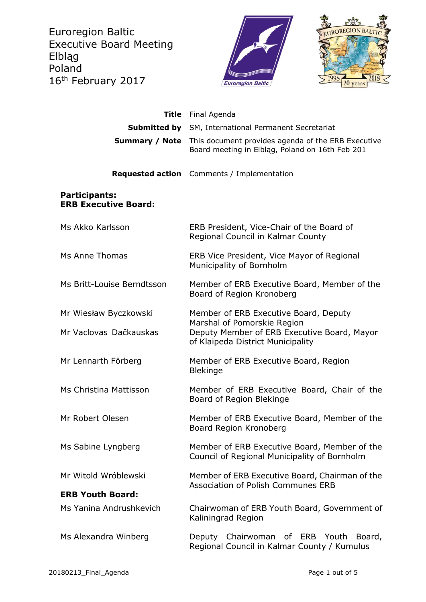Euroregion Baltic Executive Board Meeting Elbląg Poland 16<sup>th</sup> February 2017





| <b>Title</b>                                        | Final Agenda                                                                                                    |
|-----------------------------------------------------|-----------------------------------------------------------------------------------------------------------------|
| Submitted by                                        | SM, International Permanent Secretariat                                                                         |
| <b>Summary / Note</b>                               | This document provides agenda of the ERB Executive<br>Board meeting in Elbląg, Poland on 16th Feb 201           |
|                                                     | <b>Requested action</b> Comments / Implementation                                                               |
| <b>Participants:</b><br><b>ERB Executive Board:</b> |                                                                                                                 |
| Ms Akko Karlsson                                    | ERB President, Vice-Chair of the Board of<br>Regional Council in Kalmar County                                  |
| Ms Anne Thomas                                      | ERB Vice President, Vice Mayor of Regional<br>Municipality of Bornholm                                          |
| Ms Britt-Louise Berndtsson                          | Member of ERB Executive Board, Member of the<br>Board of Region Kronoberg                                       |
| Mr Wiesław Byczkowski                               | Member of ERB Executive Board, Deputy                                                                           |
| Mr Vaclovas Dačkauskas                              | Marshal of Pomorskie Region<br>Deputy Member of ERB Executive Board, Mayor<br>of Klaipeda District Municipality |
| Mr Lennarth Förberg                                 | Member of ERB Executive Board, Region<br><b>Blekinge</b>                                                        |
| Ms Christina Mattisson                              | Member of ERB Executive Board, Chair of the<br>Board of Region Blekinge                                         |
| Mr Robert Olesen                                    | Member of ERB Executive Board, Member of the<br>Board Region Kronoberg                                          |
| Ms Sabine Lyngberg                                  | Member of ERB Executive Board, Member of the<br>Council of Regional Municipality of Bornholm                    |
| Mr Witold Wróblewski                                | Member of ERB Executive Board, Chairman of the<br>Association of Polish Communes ERB                            |
| <b>ERB Youth Board:</b>                             |                                                                                                                 |
| Ms Yanina Andrushkevich                             | Chairwoman of ERB Youth Board, Government of<br>Kaliningrad Region                                              |
| Ms Alexandra Winberg                                | Deputy Chairwoman of ERB Youth<br>Board,<br>Regional Council in Kalmar County / Kumulus                         |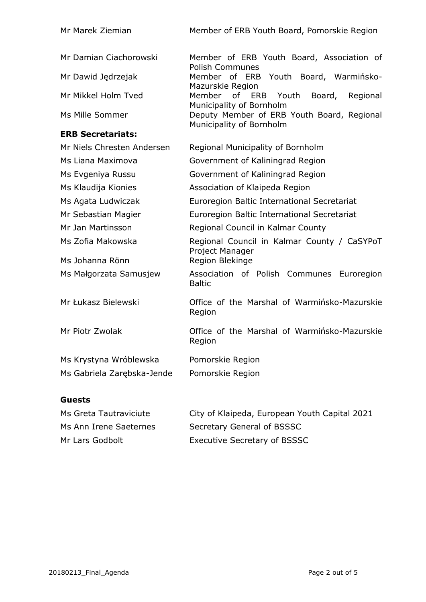| Mr Marek Ziemian           | Member of ERB Youth Board, Pomorskie Region                                 |
|----------------------------|-----------------------------------------------------------------------------|
| Mr Damian Ciachorowski     | Member of ERB Youth Board, Association of<br><b>Polish Communes</b>         |
| Mr Dawid Jędrzejak         | Member of ERB Youth Board, Warmińsko-<br>Mazurskie Region                   |
| Mr Mikkel Holm Tved        | Member<br>of ERB<br>Youth<br>Board,<br>Regional<br>Municipality of Bornholm |
| Ms Mille Sommer            | Deputy Member of ERB Youth Board, Regional<br>Municipality of Bornholm      |
| <b>ERB Secretariats:</b>   |                                                                             |
| Mr Niels Chresten Andersen | Regional Municipality of Bornholm                                           |
| Ms Liana Maximova          | Government of Kaliningrad Region                                            |
| Ms Evgeniya Russu          | Government of Kaliningrad Region                                            |
| Ms Klaudija Kionies        | Association of Klaipeda Region                                              |
| Ms Agata Ludwiczak         | Euroregion Baltic International Secretariat                                 |
| Mr Sebastian Magier        | Euroregion Baltic International Secretariat                                 |
| Mr Jan Martinsson          | Regional Council in Kalmar County                                           |
| Ms Zofia Makowska          | Regional Council in Kalmar County / CaSYPoT<br>Project Manager              |
| Ms Johanna Rönn            | Region Blekinge                                                             |
| Ms Małgorzata Samusjew     | Association of Polish Communes Euroregion<br><b>Baltic</b>                  |
| Mr Łukasz Bielewski        | Office of the Marshal of Warmińsko-Mazurskie<br>Region                      |
| Mr Piotr Zwolak            | Office of the Marshal of Warmińsko-Mazurskie<br>Region                      |
| Ms Krystyna Wróblewska     | Pomorskie Region                                                            |
| Ms Gabriela Zarębska-Jende | Pomorskie Region                                                            |

# **Guests**

| Ms Greta Tautraviciute | City of Klaipeda, European Youth Capital 2021 |
|------------------------|-----------------------------------------------|
| Ms Ann Irene Saeternes | Secretary General of BSSSC                    |
| Mr Lars Godbolt        | Executive Secretary of BSSSC                  |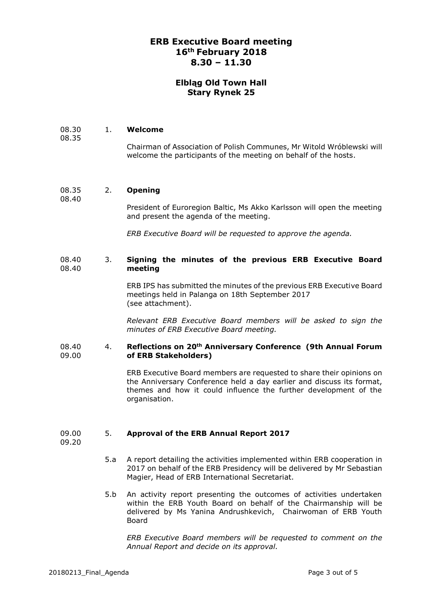## **ERB Executive Board meeting 16th February 2018 8.30 – 11.30**

## **Elbląg Old Town Hall Stary Rynek 25**

#### 08.30 1. **Welcome**

Chairman of Association of Polish Communes, Mr Witold Wróblewski will welcome the participants of the meeting on behalf of the hosts.

#### 08.35 2. **Opening**

08.40

08.35

### President of Euroregion Baltic, Ms Akko Karlsson will open the meeting and present the agenda of the meeting.

*ERB Executive Board will be requested to approve the agenda.*

#### 08.40 08.40 3. **Signing the minutes of the previous ERB Executive Board meeting**

ERB IPS has submitted the minutes of the previous ERB Executive Board meetings held in Palanga on 18th September 2017 (see attachment).

*Relevant ERB Executive Board members will be asked to sign the minutes of ERB Executive Board meeting.*

#### 08.40 09.00 4. **Reflections on 20th Anniversary Conference (9th Annual Forum of ERB Stakeholders)**

ERB Executive Board members are requested to share their opinions on the Anniversary Conference held a day earlier and discuss its format, themes and how it could influence the further development of the organisation.

#### 09.00 5. **Approval of the ERB Annual Report 2017**

09.20

- 5.a A report detailing the activities implemented within ERB cooperation in 2017 on behalf of the ERB Presidency will be delivered by Mr Sebastian Magier, Head of ERB International Secretariat.
- 5.b An activity report presenting the outcomes of activities undertaken within the ERB Youth Board on behalf of the Chairmanship will be delivered by Ms Yanina Andrushkevich, Chairwoman of ERB Youth Board

*ERB Executive Board members will be requested to comment on the Annual Report and decide on its approval.*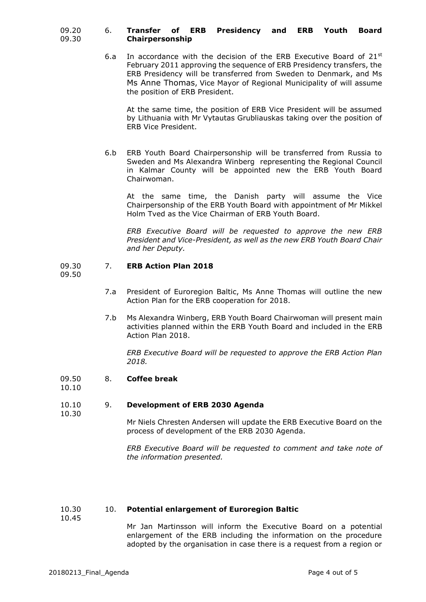#### 09.20 09.30 6. **Transfer of ERB Presidency and ERB Youth Board Chairpersonship**

6.a In accordance with the decision of the ERB Executive Board of  $21^{st}$ February 2011 approving the sequence of ERB Presidency transfers, the ERB Presidency will be transferred from Sweden to Denmark, and Ms Ms Anne Thomas, Vice Mayor of Regional Municipality of will assume the position of ERB President.

At the same time, the position of ERB Vice President will be assumed by Lithuania with Mr Vytautas Grubliauskas taking over the position of ERB Vice President.

6.b ERB Youth Board Chairpersonship will be transferred from Russia to Sweden and Ms Alexandra Winberg representing the Regional Council in Kalmar County will be appointed new the ERB Youth Board Chairwoman.

At the same time, the Danish party will assume the Vice Chairpersonship of the ERB Youth Board with appointment of Mr Mikkel Holm Tved as the Vice Chairman of ERB Youth Board.

*ERB Executive Board will be requested to approve the new ERB President and Vice-President, as well as the new ERB Youth Board Chair and her Deputy.*

#### 09.30 7. **ERB Action Plan 2018**

09.50

- 7.a President of Euroregion Baltic, Ms Anne Thomas will outline the new Action Plan for the ERB cooperation for 2018.
- 7.b Ms Alexandra Winberg, ERB Youth Board Chairwoman will present main activities planned within the ERB Youth Board and included in the ERB Action Plan 2018.

*ERB Executive Board will be requested to approve the ERB Action Plan 2018.*

#### 09.50 8. **Coffee break**

10.10

### 10.10 10.30 9. **Development of ERB 2030 Agenda**

Mr Niels Chresten Andersen will update the ERB Executive Board on the process of development of the ERB 2030 Agenda.

*ERB Executive Board will be requested to comment and take note of the information presented.*

#### 10.30 10. **Potential enlargement of Euroregion Baltic**

10.45

Mr Jan Martinsson will inform the Executive Board on a potential enlargement of the ERB including the information on the procedure adopted by the organisation in case there is a request from a region or